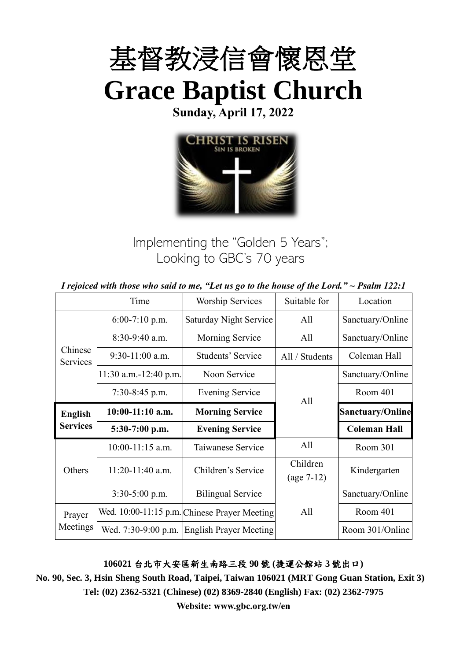

**Sunday, April 17, 2022**



Implementing the "Golden 5 Years"; Looking to GBC's 70 years

*I rejoiced with those who said to me, "Let us go to the house of the Lord." ~ Psalm 122:1*

|                                   | Time                  | <b>Worship Services</b>                      | Suitable for   | Location                |  |
|-----------------------------------|-----------------------|----------------------------------------------|----------------|-------------------------|--|
| Chinese<br>Services               | $6:00-7:10$ p.m.      | Saturday Night Service                       | All            | Sanctuary/Online        |  |
|                                   | $8:30-9:40$ a.m.      | Morning Service                              | All            | Sanctuary/Online        |  |
|                                   | $9:30-11:00$ a.m.     | Students' Service                            | All / Students | Coleman Hall            |  |
|                                   | 11:30 a.m.-12:40 p.m. | Noon Service                                 |                | Sanctuary/Online        |  |
|                                   | $7:30-8:45$ p.m.      | <b>Evening Service</b><br>All                |                | Room 401                |  |
| <b>English</b><br><b>Services</b> | $10:00-11:10$ a.m.    | <b>Morning Service</b>                       |                | <b>Sanctuary/Online</b> |  |
|                                   | $5:30-7:00$ p.m.      | <b>Evening Service</b>                       |                | <b>Coleman Hall</b>     |  |
|                                   | $10:00-11:15$ a.m.    | Taiwanese Service                            | All            | Room 301                |  |
| Others<br>Prayer<br>Meetings      | $11:20-11:40$ a.m.    | Children's Service                           | Children       | Kindergarten            |  |
|                                   |                       |                                              | $(age 7-12)$   |                         |  |
|                                   | $3:30-5:00$ p.m.      | <b>Bilingual Service</b>                     |                | Sanctuary/Online        |  |
|                                   |                       | Wed. 10:00-11:15 p.m. Chinese Prayer Meeting | All            | Room 401                |  |
|                                   | Wed. 7:30-9:00 p.m.   | <b>English Prayer Meeting</b>                |                | Room 301/Online         |  |

**106021** 台北市大安區新生南路三段 **90** 號 **(**捷運公館站 **3** 號出口**)**

**No. 90, Sec. 3, Hsin Sheng South Road, Taipei, Taiwan 106021 (MRT Gong Guan Station, Exit 3) Tel: (02) 2362-5321 (Chinese) (02) 8369-2840 (English) Fax: (02) 2362-7975**

**Website: www.gbc.org.tw/en**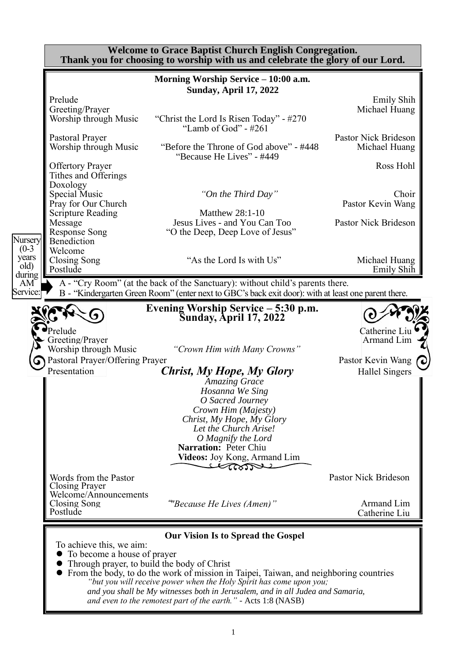|                         | <b>Welcome to Grace Baptist Church English Congregation.</b><br>Thank you for choosing to worship with us and celebrate the glory of our Lord. |                                                                                                                                                                                                                                                                                                                                                               |                                            |  |  |
|-------------------------|------------------------------------------------------------------------------------------------------------------------------------------------|---------------------------------------------------------------------------------------------------------------------------------------------------------------------------------------------------------------------------------------------------------------------------------------------------------------------------------------------------------------|--------------------------------------------|--|--|
|                         |                                                                                                                                                | Morning Worship Service - 10:00 a.m.<br><b>Sunday, April 17, 2022</b>                                                                                                                                                                                                                                                                                         |                                            |  |  |
|                         | Prelude<br>Greeting/Prayer<br>Worship through Music                                                                                            | "Christ the Lord Is Risen Today" - #270<br>"Lamb of God" - $\#261$                                                                                                                                                                                                                                                                                            | <b>Emily Shih</b><br>Michael Huang         |  |  |
|                         | Pastoral Prayer<br>Worship through Music                                                                                                       | "Before the Throne of God above" - #448<br>"Because He Lives" - #449                                                                                                                                                                                                                                                                                          | Pastor Nick Brideson<br>Michael Huang      |  |  |
|                         | <b>Offertory Prayer</b><br>Tithes and Offerings<br>Doxology                                                                                    |                                                                                                                                                                                                                                                                                                                                                               | Ross Hohl                                  |  |  |
|                         | Special Music<br>Pray for Our Church<br><b>Scripture Reading</b>                                                                               | "On the Third Day"<br><b>Matthew 28:1-10</b>                                                                                                                                                                                                                                                                                                                  | Choir<br>Pastor Kevin Wang                 |  |  |
| Nursery<br>$(0-3)$      | Message<br><b>Response Song</b><br>Benediction                                                                                                 | Jesus Lives - and You Can Too<br>"O the Deep, Deep Love of Jesus"                                                                                                                                                                                                                                                                                             | Pastor Nick Brideson                       |  |  |
| years<br>old)<br>during | Welcome<br>Closing Song<br>Postlude                                                                                                            | "As the Lord Is with Us"                                                                                                                                                                                                                                                                                                                                      | Michael Huang<br><b>Emily Shih</b>         |  |  |
| AM<br>Service:          |                                                                                                                                                | A - "Cry Room" (at the back of the Sanctuary): without child's parents there.<br>B - "Kindergarten Green Room" (enter next to GBC's back exit door): with at least one parent there.                                                                                                                                                                          |                                            |  |  |
|                         |                                                                                                                                                | Evening Worship Service – 5:30 p.m.<br><b>Sunday, April 17, 2022</b>                                                                                                                                                                                                                                                                                          |                                            |  |  |
|                         | relude<br>Greeting/Prayer<br>Worship through Music                                                                                             | "Crown Him with Many Crowns"                                                                                                                                                                                                                                                                                                                                  | Catherine Liu<br>Armand Lim                |  |  |
|                         | <b>Pastoral Prayer/Offering Prayer</b><br>Presentation                                                                                         | Christ, My Hope, My Glory<br><b>Amazing Grace</b>                                                                                                                                                                                                                                                                                                             | Pastor Kevin Wang<br><b>Hallel Singers</b> |  |  |
|                         |                                                                                                                                                | Hosanna We Sing<br>O Sacred Journey<br>Crown Him (Majesty)<br>Christ, My Hope, My Glory                                                                                                                                                                                                                                                                       |                                            |  |  |
|                         |                                                                                                                                                | Let the Church Arise!<br>O Magnify the Lord<br>Narration: Peter Chiu<br>Videos: Joy Kong, Armand Lim                                                                                                                                                                                                                                                          |                                            |  |  |
|                         | Words from the Pastor<br>Closing Prayer                                                                                                        | Lam                                                                                                                                                                                                                                                                                                                                                           | Pastor Nick Brideson                       |  |  |
|                         | Welcome/Announcements<br>Closing Song<br>Postlude                                                                                              | "Because He Lives (Amen)"                                                                                                                                                                                                                                                                                                                                     | Armand Lim<br>Catherine Liu                |  |  |
|                         | To achieve this, we aim:<br>• To become a house of prayer<br>• Through prayer, to build the body of Christ                                     | <b>Our Vision Is to Spread the Gospel</b><br>From the body, to do the work of mission in Taipei, Taiwan, and neighboring countries<br>"but you will receive power when the Holy Spirit has come upon you;<br>and you shall be My witnesses both in Jerusalem, and in all Judea and Samaria,<br>and even to the remotest part of the earth." - Acts 1:8 (NASB) |                                            |  |  |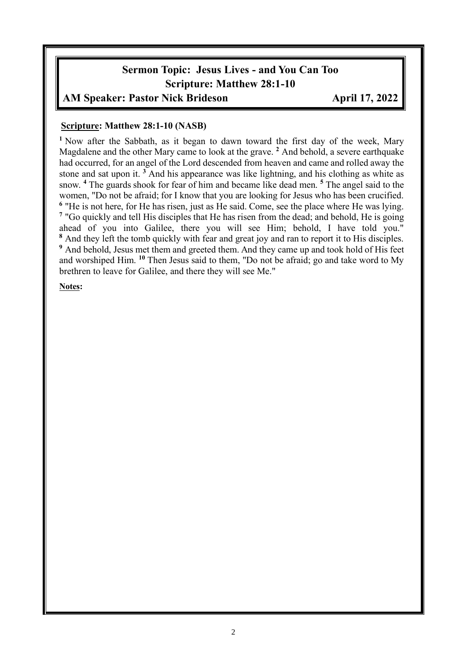# **Sermon Topic: Jesus Lives - and You Can Too Scripture: Matthew 28:1-10**

### AM Speaker: Pastor Nick Brideson **April 17, 2022**

#### **Scripture: Matthew 28:1-10 (NASB)**

**<sup>1</sup>** Now after the Sabbath, as it began to dawn toward the first day of the week, Mary Magdalene and the other Mary came to look at the grave. **<sup>2</sup>** And behold, a severe earthquake had occurred, for an angel of the Lord descended from heaven and came and rolled away the stone and sat upon it. **<sup>3</sup>** And his appearance was like lightning, and his clothing as white as snow. **<sup>4</sup>** The guards shook for fear of him and became like dead men. **<sup>5</sup>** The angel said to the women, "Do not be afraid; for I know that you are looking for Jesus who has been crucified. <sup>6</sup> "He is not here, for He has risen, just as He said. Come, see the place where He was lying. <sup>7</sup> "Go quickly and tell His disciples that He has risen from the dead; and behold, He is going ahead of you into Galilee, there you will see Him; behold, I have told you." **<sup>8</sup>** And they left the tomb quickly with fear and great joy and ran to report it to His disciples. **<sup>9</sup>** And behold, Jesus met them and greeted them. And they came up and took hold of His feet and worshiped Him. **<sup>10</sup>** Then Jesus said to them, "Do not be afraid; go and take word to My brethren to leave for Galilee, and there they will see Me."

**Notes:**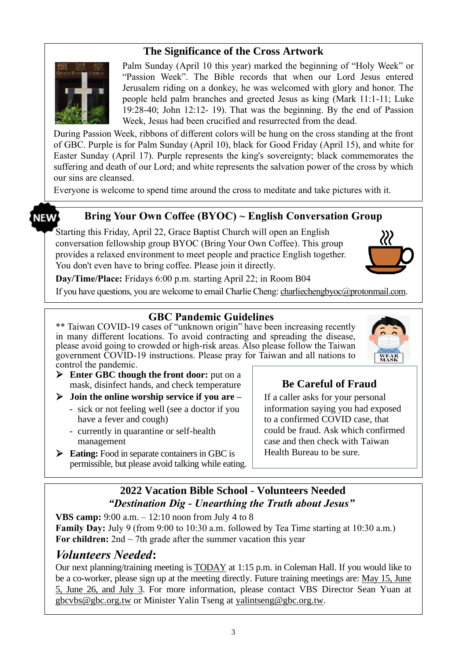### **The Significance of the Cross Artwork**



Palm Sunday (April 10 this year) marked the beginning of "Holy Week" or "Passion Week". The Bible records that when our Lord Jesus entered Jerusalem riding on a donkey, he was welcomed with glory and honor. The people held palm branches and greeted Jesus as king (Mark 11:1-11; Luke 19:28-40; John 12:12- 19). That was the beginning. By the end of Passion Week, Jesus had been crucified and resurrected from the dead.

During Passion Week, ribbons of different colors will be hung on the cross standing at the front of GBC. Purple is for Palm Sunday (April 10), black for Good Friday (April 15), and white for Easter Sunday (April 17). Purple represents the king's sovereignty; black commemorates the suffering and death of our Lord; and white represents the salvation power of the cross by which our sins are cleansed.

Everyone is welcome to spend time around the cross to meditate and take pictures with it.

## **NEW'**

#### **Bring Your Own Coffee (BYOC) ~ English Conversation Group**

Starting this Friday, April 22, Grace Baptist Church will open an English conversation fellowship group BYOC (Bring Your Own Coffee). This group provides a relaxed environment to meet people and practice English together. You don't even have to bring coffee. Please join it directly.



**Day/Time/Place:** Fridays 6:00 p.m. starting April 22; in Room B04

If you have questions, you are welcome to email Charlie Cheng: charliechengbyoc@protonmail.com.

#### **GBC Pandemic Guidelines**

\*\* Taiwan COVID-19 cases of "unknown origin" have been increasing recently in many different locations. To avoid contracting and spreading the disease, please avoid going to crowded or high-risk areas. Also please follow the Taiwan government COVID-19 instructions. Please pray for Taiwan and all nations to control the pandemic.



➢ **Enter GBC though the front door:** put on a mask, disinfect hands, and check temperature

➢ **Join the online worship service if you are –**

- sick or not feeling well (see a doctor if you have a fever and cough)
- currently in quarantine or self-health management
- ➢ **Eating:** Food in separate containers in GBC is permissible, but please avoid talking while eating.

### **Be Careful of Fraud**

If a caller asks for your personal information saying you had exposed to a confirmed COVID case, that could be fraud. Ask which confirmed case and then check with Taiwan Health Bureau to be sure.

### **2022 Vacation Bible School - Volunteers Needed** *"Destination Dig - Unearthing the Truth about Jesus"*

**VBS camp:** 9:00 a.m. – 12:10 noon from July 4 to 8 **Family Day:** July 9 (from 9:00 to 10:30 a.m. followed by Tea Time starting at 10:30 a.m.) For children:  $2nd \sim 7th$  grade after the summer vacation this year

### *Volunteers Needed***:**

Our next planning/training meeting is TODAY at 1:15 p.m. in Coleman Hall. If you would like to be a co-worker, please sign up at the meeting directly. Future training meetings are: May 15, June 5, June 26, and July 3. For more information, please contact VBS Director Sean Yuan at [gbcvbs@gbc.org.tw](mailto:gbcvbs@gbc.org.tw) or Minister Yalin Tseng at yalintseng@gbc.org.tw.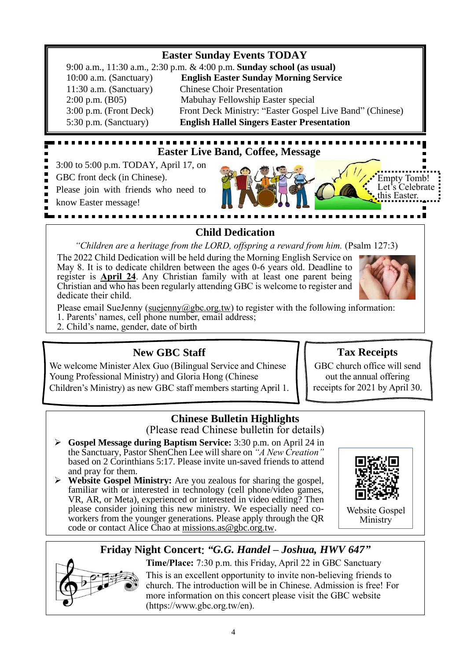### **Easter Sunday Events TODAY** 9:00 a.m., 11:30 a.m., 2:30 p.m. & 4:00 p.m. **Sunday school (as usual)** 10:00 a.m. (Sanctuary) **English Easter Sunday Morning Service** 11:30 a.m. (Sanctuary) Chinese Choir Presentation 2:00 p.m. (B05) Mabuhay Fellowship Easter special 3:00 p.m. (Front Deck) Front Deck Ministry: "Easter Gospel Live Band" (Chinese) 5:30 p.m. (Sanctuary) **English Hallel Singers Easter Presentation**

# **Easter Live Band, Coffee, Message**

3:00 to 5:00 p.m. TODAY, April 17, on

GBC front deck (in Chinese).

Please join with friends who need to

know Easter message!



# **Child Dedication**

*"Children are a heritage from the LORD, offspring a reward from him.* (Psalm 127:3)

The 2022 Child Dedication will be held during the Morning English Service on May 8. It is to dedicate children between the ages 0-6 years old. Deadline to register is **April 24**. Any Christian family with at least one parent being Christian and who has been regularly attending GBC is welcome to register and dedicate their child.



Please email SueJenny (suejenny  $@abc.org.tw$ ) to register with the following information:

1. Parents' names, cell phone number, email address;

2. Child's name, gender, date of birth

# **New GBC Staff**

We welcome Minister Alex Guo (Bilingual Service and Chinese Young Professional Ministry) and Gloria Hong (Chinese Children's Ministry) as new GBC staff members starting April 1.

# **Tax Receipts**

GBC church office will send out the annual offering receipts for 2021 by April 30.

### **Chinese Bulletin Highlights**

(Please read Chinese bulletin for details)

- ➢ **Gospel Message during Baptism Service:** 3:30 p.m. on April 24 in the Sanctuary, Pastor ShenChen Lee will share on *"A New Creation"*  based on 2 Corinthians 5:17. Please invite un-saved friends to attend and pray for them.
- ➢ **Website Gospel Ministry:** Are you zealous for sharing the gospel, familiar with or interested in technology (cell phone/video games, VR, AR, or Meta), experienced or interested in video editing? Then please consider joining this new ministry. We especially need coworkers from the younger generations. Please apply through the QR code or contact Alice Chao at missions.as @gbc.org.tw.



Website Gospel Ministry

# **Friday Night Concert**: *"G.G. Handel – Joshua, HWV 647"*

**Time/Place:** 7:30 p.m. this Friday, April 22 in GBC Sanctuary This is an excellent opportunity to invite non-believing friends to church. The introduction will be in Chinese. Admission is free! For more information on this concert please visit the GBC website (https://www.gbc.org.tw/en).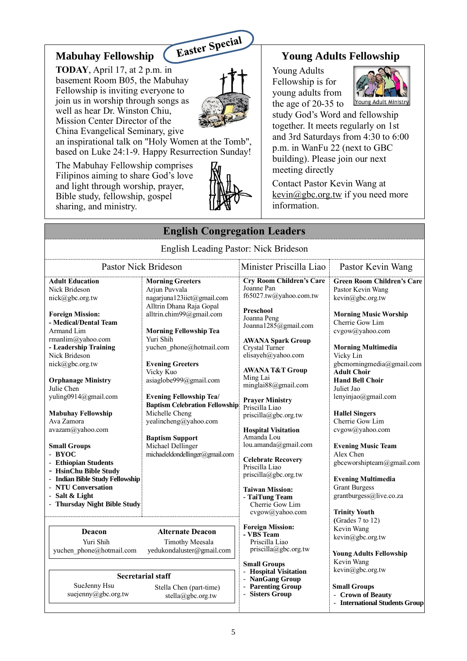### **Mabuhay Fellowship**

**TODAY**, April 17, at 2 p.m. in basement Room B05, the Mabuhay Fellowship is inviting everyone to join us in worship through songs as well as hear Dr. Winston Chiu, Mission Center Director of the China Evangelical Seminary, give



an inspirational talk on "Holy Women at the Tomb", based on Luke 24:1-9. Happy Resurrection Sunday!

The Mabuhay Fellowship comprises Filipinos aiming to share God's love and light through worship, prayer, Bible study, fellowship, gospel sharing, and ministry.



#### **Young Adults Fellowship**

Young Adults Fellowship is for young adults from the age of 20-35 to



Young Adult Ministry study God's Word and fellowship together. It meets regularly on 1st and 3rd Saturdays from 4:30 to 6:00 p.m. in WanFu 22 (next to GBC building). Please join our next meeting directly

Contact Pastor Kevin Wang at  $k$ evin $@$ gbc.org.tw if you need more information.

| <b>English Congregation Leaders</b>                                                                                                                                                                                                                                                                                                                                                                                                                                                                                                           |                                                                                                                                                                                                                                                                                                                                                                                                                                                                                    |                                                                                                                                                                                                                                                                                                                                                                                                                                                                                                                                                |                                                                                                                                                                                                                                                                                                                                                                                                                                                                                                                                    |  |
|-----------------------------------------------------------------------------------------------------------------------------------------------------------------------------------------------------------------------------------------------------------------------------------------------------------------------------------------------------------------------------------------------------------------------------------------------------------------------------------------------------------------------------------------------|------------------------------------------------------------------------------------------------------------------------------------------------------------------------------------------------------------------------------------------------------------------------------------------------------------------------------------------------------------------------------------------------------------------------------------------------------------------------------------|------------------------------------------------------------------------------------------------------------------------------------------------------------------------------------------------------------------------------------------------------------------------------------------------------------------------------------------------------------------------------------------------------------------------------------------------------------------------------------------------------------------------------------------------|------------------------------------------------------------------------------------------------------------------------------------------------------------------------------------------------------------------------------------------------------------------------------------------------------------------------------------------------------------------------------------------------------------------------------------------------------------------------------------------------------------------------------------|--|
|                                                                                                                                                                                                                                                                                                                                                                                                                                                                                                                                               | English Leading Pastor: Nick Brideson                                                                                                                                                                                                                                                                                                                                                                                                                                              |                                                                                                                                                                                                                                                                                                                                                                                                                                                                                                                                                |                                                                                                                                                                                                                                                                                                                                                                                                                                                                                                                                    |  |
| <b>Pastor Nick Brideson</b>                                                                                                                                                                                                                                                                                                                                                                                                                                                                                                                   |                                                                                                                                                                                                                                                                                                                                                                                                                                                                                    | Minister Priscilla Liao                                                                                                                                                                                                                                                                                                                                                                                                                                                                                                                        | Pastor Kevin Wang                                                                                                                                                                                                                                                                                                                                                                                                                                                                                                                  |  |
| <b>Adult Education</b><br>Nick Brideson<br>nick@gbc.org.tw<br><b>Foreign Mission:</b><br>- Medical/Dental Team<br>Armand Lim<br>rmanlim@yahoo.com<br>- Leadership Training<br>Nick Brideson<br>nick@gbc.org.tw<br><b>Orphanage Ministry</b><br>Julie Chen<br>yuling0914@gmail.com<br><b>Mabuhay Fellowship</b><br>Ava Zamora<br>avazam@yahoo.com<br><b>Small Groups</b><br>- BYOC<br>- Ethiopian Students<br>- HsinChu Bible Study<br>- Indian Bible Study Fellowship<br>- NTU Conversation<br>- Salt & Light<br>- Thursday Night Bible Study | <b>Morning Greeters</b><br>Arjun Puvvala<br>nagarjuna123iict@gmail.com<br>Alltrin Dhana Raja Gopal<br>alltrin.chim99@gmail.com<br><b>Morning Fellowship Tea</b><br>Yuri Shih<br>yuchen phone@hotmail.com<br><b>Evening Greeters</b><br>Vicky Kuo<br>asiaglobe999@gmail.com<br><b>Evening Fellowship Tea/</b><br><b>Baptism Celebration Fellowship</b><br>Michelle Cheng<br>yealincheng@yahoo.com<br><b>Baptism Support</b><br>Michael Dellinger<br>michaeleldondellinger@gmail.com | <b>Cry Room Children's Care</b><br>Joanne Pan<br>f65027.tw@yahoo.com.tw<br>Preschool<br>Joanna Peng<br>Joanna1285@gmail.com<br><b>AWANA Spark Group</b><br>Crystal Turner<br>elisayeh@yahoo.com<br><b>AWANA T&amp;T Group</b><br>Ming Lai<br>minglai88@gmail.com<br><b>Prayer Ministry</b><br>Priscilla Liao<br>priscilla@gbc.org.tw<br><b>Hospital Visitation</b><br>Amanda Lou<br>lou.amanda@gmail.com<br><b>Celebrate Recovery</b><br>Priscilla Liao<br>priscilla@gbc.org.tw<br><b>Taiwan Mission:</b><br>- TaiTung Team<br>Cherrie Gow Lim | <b>Green Room Children's Care</b><br>Pastor Kevin Wang<br>kevin@gbc.org.tw<br><b>Morning Music Worship</b><br>Cherrie Gow Lim<br>cvgow@yahoo.com<br><b>Morning Multimedia</b><br>Vicky Lin<br>gbcmorningmedia@gmail.com<br><b>Adult Choir</b><br><b>Hand Bell Choir</b><br>Juliet Jao<br>lenyinjao@gmail.com<br><b>Hallel Singers</b><br>Cherrie Gow Lim<br>cvgow@yahoo.com<br><b>Evening Music Team</b><br>Alex Chen<br>gbceworshipteam@gmail.com<br><b>Evening Multimedia</b><br><b>Grant Burgess</b><br>grantburgess@live.co.za |  |
| Deacon<br>Yuri Shih<br>yuchen phone@hotmail.com                                                                                                                                                                                                                                                                                                                                                                                                                                                                                               | <b>Alternate Deacon</b><br><b>Timothy Meesala</b><br>yedukondaluster@gmail.com                                                                                                                                                                                                                                                                                                                                                                                                     | cvgow@yahoo.com<br><b>Foreign Mission:</b><br>- VBS Team<br>Priscilla Liao<br>priscilla@gbc.org.tw                                                                                                                                                                                                                                                                                                                                                                                                                                             | <b>Trinity Youth</b><br>(Grades 7 to 12)<br>Kevin Wang<br>kevin@gbc.org.tw<br><b>Young Adults Fellowship</b>                                                                                                                                                                                                                                                                                                                                                                                                                       |  |
| <b>Secretarial staff</b><br>SueJenny Hsu<br>Stella Chen (part-time)<br>suejenny@gbc.org.tw<br>stella@gbc.org.tw                                                                                                                                                                                                                                                                                                                                                                                                                               |                                                                                                                                                                                                                                                                                                                                                                                                                                                                                    | <b>Small Groups</b><br>- Hospital Visitation<br>- NanGang Group<br>- Parenting Group<br><b>Sisters Group</b>                                                                                                                                                                                                                                                                                                                                                                                                                                   | Kevin Wang<br>kevin@gbc.org.tw<br><b>Small Groups</b><br>- Crown of Beauty<br>- International Students Group                                                                                                                                                                                                                                                                                                                                                                                                                       |  |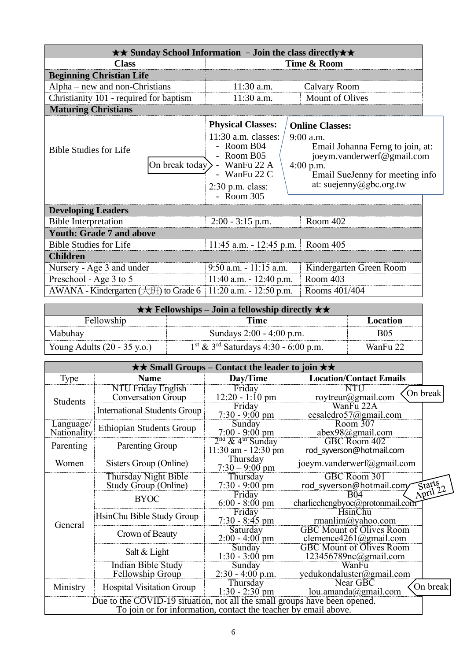| $\star\star$ Sunday School Information - Join the class directly $\star\star$ |                                                                                                                                             |                                                                                                                                                                                    |  |  |
|-------------------------------------------------------------------------------|---------------------------------------------------------------------------------------------------------------------------------------------|------------------------------------------------------------------------------------------------------------------------------------------------------------------------------------|--|--|
| <b>Class</b>                                                                  | Time & Room                                                                                                                                 |                                                                                                                                                                                    |  |  |
| <b>Beginning Christian Life</b>                                               |                                                                                                                                             |                                                                                                                                                                                    |  |  |
| Alpha – new and non-Christians                                                | $11:30$ a.m.                                                                                                                                | Calvary Room                                                                                                                                                                       |  |  |
| Christianity 101 - required for baptism                                       | 11:30 a.m.                                                                                                                                  | <b>Mount of Olives</b>                                                                                                                                                             |  |  |
| <b>Maturing Christians</b>                                                    |                                                                                                                                             |                                                                                                                                                                                    |  |  |
| <b>Bible Studies for Life</b><br>On break today $\rangle$ -                   | <b>Physical Classes:</b><br>$11:30$ a.m. classes:<br>- Room B04<br>Room B05<br>WanFu 22 A<br>WanFu 22 C<br>$2:30$ p.m. class:<br>- Room 305 | <b>Online Classes:</b><br>9:00 a.m.<br>Email Johanna Ferng to join, at:<br>joeym.vanderwerf@gmail.com<br>$4:00$ p.m.<br>Email SueJenny for meeting info<br>at: suejenny@gbc.org.tw |  |  |
| <b>Developing Leaders</b>                                                     |                                                                                                                                             |                                                                                                                                                                                    |  |  |
| <b>Bible Interpretation</b>                                                   | $2:00 - 3:15$ p.m.                                                                                                                          | Room 402                                                                                                                                                                           |  |  |
| <b>Youth: Grade 7 and above</b>                                               |                                                                                                                                             |                                                                                                                                                                                    |  |  |
| <b>Bible Studies for Life</b>                                                 | $11:45$ a.m. $-12:45$ p.m.                                                                                                                  | Room 405                                                                                                                                                                           |  |  |
| <b>Children</b>                                                               |                                                                                                                                             |                                                                                                                                                                                    |  |  |
| Nursery - Age 3 and under                                                     | $9:50$ a.m. $-11:15$ a.m.                                                                                                                   | Kindergarten Green Room                                                                                                                                                            |  |  |
| Preschool - Age 3 to 5                                                        | 11:40 a.m. - 12:40 p.m.                                                                                                                     | Room 403                                                                                                                                                                           |  |  |
| AWANA - Kindergarten $(\pm 1)$ to Grade 6                                     | $11:20$ a.m. $-12:50$ p.m.                                                                                                                  | Rooms 401/404                                                                                                                                                                      |  |  |

| $\star \star$ Fellowships – Join a fellowship directly $\star \star$ |                                                              |            |  |  |
|----------------------------------------------------------------------|--------------------------------------------------------------|------------|--|--|
| Fellowship<br>Location<br>Time                                       |                                                              |            |  |  |
| Mabuhay                                                              | Sundays 2:00 - 4:00 p.m.                                     | <b>B05</b> |  |  |
| Young Adults $(20 - 35 \text{ y.o.})$                                | $1^{\text{st}}$ & 3 <sup>rd</sup> Saturdays 4:30 - 6:00 p.m. | WanFu 22   |  |  |

| $\star\star$ Small Groups – Contact the leader to join $\star\star$                                                                          |                                                        |                                                           |                                                           |                    |
|----------------------------------------------------------------------------------------------------------------------------------------------|--------------------------------------------------------|-----------------------------------------------------------|-----------------------------------------------------------|--------------------|
| Type                                                                                                                                         | <b>Name</b>                                            | Day/Time                                                  | <b>Location/Contact Emails</b>                            |                    |
| <b>Students</b>                                                                                                                              | <b>NTU Friday English</b><br><b>Conversation Group</b> | Friday<br>$12:20 - 1:10$ pm                               | NTU<br>roytreur@gmail.com                                 | On break           |
|                                                                                                                                              | <b>International Students Group</b>                    | Friday<br>$7:30 - 9:00$ pm                                | WanFu 22A<br>cesaledro57@gmail.com                        |                    |
| Language/<br>Nationality                                                                                                                     | <b>Ethiopian Students Group</b>                        | Sunday<br>$7:00 - 9:00 \text{ pm}$                        | Room 307<br>abex98@gmail.com                              |                    |
| Parenting                                                                                                                                    | Parenting Group                                        | $2nd$ & 4 <sup>th</sup> Sunday<br>$11:30$ am - $12:30$ pm | GBC Room 402<br>rod syverson@hotmail.com                  |                    |
| Women                                                                                                                                        | Sisters Group (Online)                                 | Thursday<br>$7:30 - 9:00$ pm                              | joeym.vanderwerf@gmail.com                                |                    |
| General                                                                                                                                      | Thursday Night Bible<br>Study Group (Online)           | Thursday<br>$7:30 - 9:00$ pm                              | GBC Room 301<br>rod syverson@hotmail.com/                 | Starts<br>April 22 |
|                                                                                                                                              | <b>BYOC</b>                                            | Friday<br>$6:00 - 8:00 \text{ pm}$                        | <b>B04</b><br>charliechengbyoc@protonmail.com             |                    |
|                                                                                                                                              | HsinChu Bible Study Group                              | Friday<br>$7:30 - 8:45$ pm                                | <b>HsinChu</b><br>rmanlim@yahoo.com                       |                    |
|                                                                                                                                              | Crown of Beauty                                        | Saturday<br>$2:00 - 4:00$ pm                              | <b>GBC Mount of Olives Room</b><br>clemence4261@gmail.com |                    |
|                                                                                                                                              | Salt & Light                                           | Sunday<br>$1:30 - 3:00$ pm                                | <b>GBC Mount of Olives Room</b><br>123456789nc@gmail.com  |                    |
|                                                                                                                                              | <b>Indian Bible Study</b><br>Fellowship Group          | Sunday<br>$2:30 - 4:00$ p.m.                              | WanFu<br>yedukondaluster@gmail.com                        |                    |
| Ministry                                                                                                                                     | <b>Hospital Visitation Group</b>                       | Thursday<br>$1:30 - 2:30$ pm                              | Near GBC<br>lou.amanda@gmail.com                          | On break           |
| Due to the COVID-19 situation, not all the small groups have been opened.<br>To join or for information, contact the teacher by email above. |                                                        |                                                           |                                                           |                    |